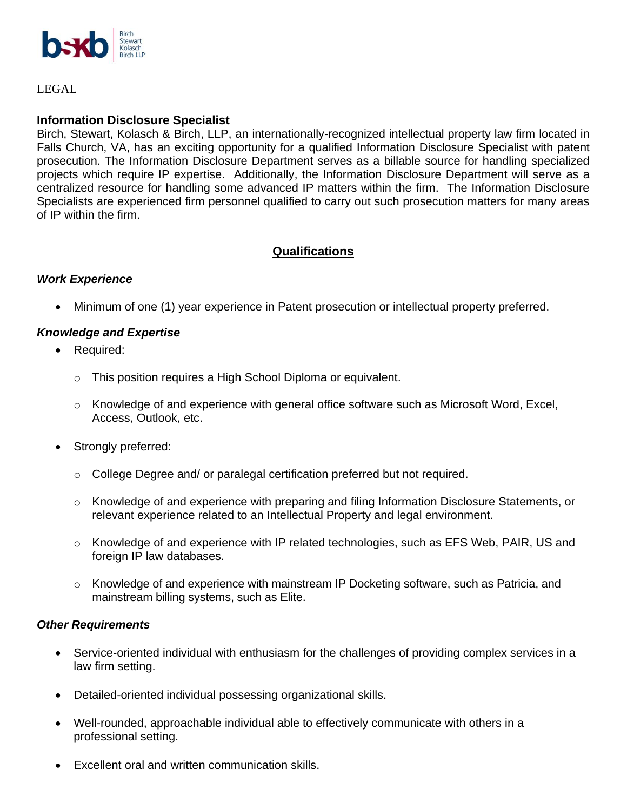

LEGAL

## **Information Disclosure Specialist**

Birch, Stewart, Kolasch & Birch, LLP, an internationally-recognized intellectual property law firm located in Falls Church, VA, has an exciting opportunity for a qualified Information Disclosure Specialist with patent prosecution. The Information Disclosure Department serves as a billable source for handling specialized projects which require IP expertise. Additionally, the Information Disclosure Department will serve as a centralized resource for handling some advanced IP matters within the firm. The Information Disclosure Specialists are experienced firm personnel qualified to carry out such prosecution matters for many areas of IP within the firm.

# **Qualifications**

### *Work Experience*

• Minimum of one (1) year experience in Patent prosecution or intellectual property preferred.

#### *Knowledge and Expertise*

- Required:
	- o This position requires a High School Diploma or equivalent.
	- o Knowledge of and experience with general office software such as Microsoft Word, Excel, Access, Outlook, etc.
- Strongly preferred:
	- $\circ$  College Degree and/ or paralegal certification preferred but not required.
	- $\circ$  Knowledge of and experience with preparing and filing Information Disclosure Statements, or relevant experience related to an Intellectual Property and legal environment.
	- $\circ$  Knowledge of and experience with IP related technologies, such as EFS Web, PAIR, US and foreign IP law databases.
	- $\circ$  Knowledge of and experience with mainstream IP Docketing software, such as Patricia, and mainstream billing systems, such as Elite.

#### *Other Requirements*

- Service-oriented individual with enthusiasm for the challenges of providing complex services in a law firm setting.
- Detailed-oriented individual possessing organizational skills.
- Well-rounded, approachable individual able to effectively communicate with others in a professional setting.
- Excellent oral and written communication skills.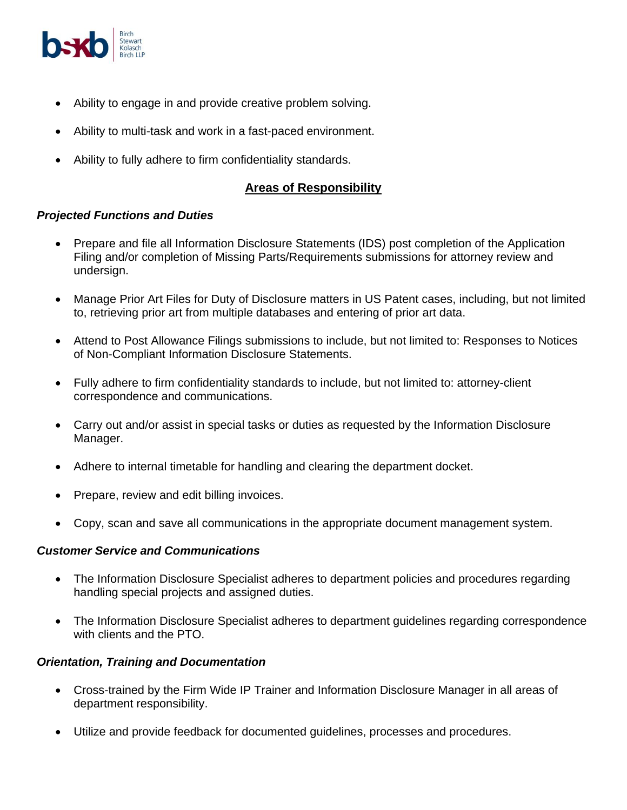

- Ability to engage in and provide creative problem solving.
- Ability to multi-task and work in a fast-paced environment.
- Ability to fully adhere to firm confidentiality standards.

# **Areas of Responsibility**

### *Projected Functions and Duties*

- Prepare and file all Information Disclosure Statements (IDS) post completion of the Application Filing and/or completion of Missing Parts/Requirements submissions for attorney review and undersign.
- Manage Prior Art Files for Duty of Disclosure matters in US Patent cases, including, but not limited to, retrieving prior art from multiple databases and entering of prior art data.
- Attend to Post Allowance Filings submissions to include, but not limited to: Responses to Notices of Non-Compliant Information Disclosure Statements.
- Fully adhere to firm confidentiality standards to include, but not limited to: attorney-client correspondence and communications.
- Carry out and/or assist in special tasks or duties as requested by the Information Disclosure Manager.
- Adhere to internal timetable for handling and clearing the department docket.
- Prepare, review and edit billing invoices.
- Copy, scan and save all communications in the appropriate document management system.

# *Customer Service and Communications*

- The Information Disclosure Specialist adheres to department policies and procedures regarding handling special projects and assigned duties.
- The Information Disclosure Specialist adheres to department guidelines regarding correspondence with clients and the PTO.

# *Orientation, Training and Documentation*

- Cross-trained by the Firm Wide IP Trainer and Information Disclosure Manager in all areas of department responsibility.
- Utilize and provide feedback for documented guidelines, processes and procedures.